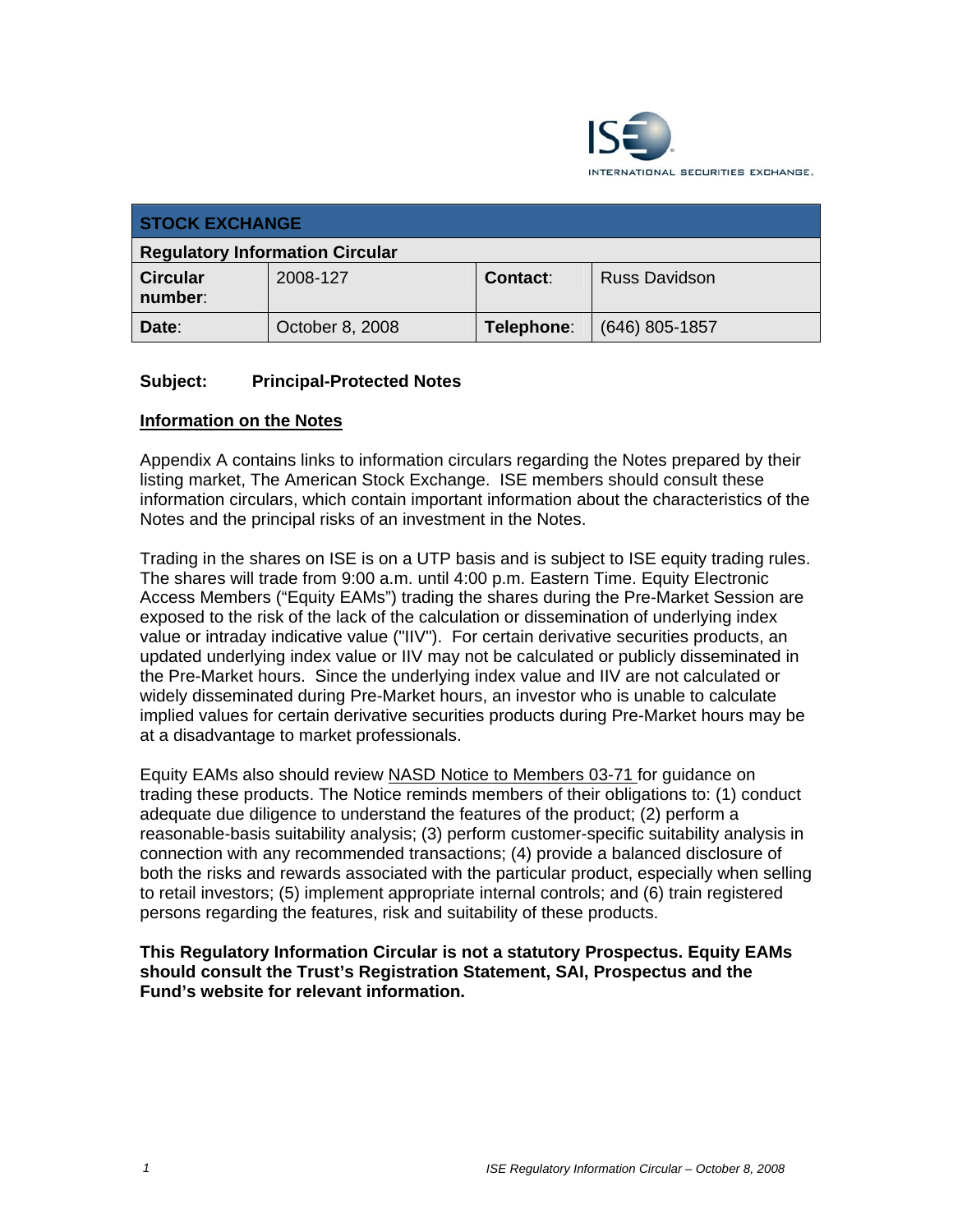

| <b>STOCK EXCHANGE</b>                  |                 |                 |                      |
|----------------------------------------|-----------------|-----------------|----------------------|
| <b>Regulatory Information Circular</b> |                 |                 |                      |
| <b>Circular</b><br>number:             | 2008-127        | <b>Contact:</b> | <b>Russ Davidson</b> |
| Date:                                  | October 8, 2008 | Telephone:      | (646) 805-1857       |

## **Subject: Principal-Protected Notes**

## **Information on the Notes**

Appendix A contains links to information circulars regarding the Notes prepared by their listing market, The American Stock Exchange. ISE members should consult these information circulars, which contain important information about the characteristics of the Notes and the principal risks of an investment in the Notes.

Trading in the shares on ISE is on a UTP basis and is subject to ISE equity trading rules. The shares will trade from 9:00 a.m. until 4:00 p.m. Eastern Time. Equity Electronic Access Members ("Equity EAMs") trading the shares during the Pre-Market Session are exposed to the risk of the lack of the calculation or dissemination of underlying index value or intraday indicative value ("IIV"). For certain derivative securities products, an updated underlying index value or IIV may not be calculated or publicly disseminated in the Pre-Market hours. Since the underlying index value and IIV are not calculated or widely disseminated during Pre-Market hours, an investor who is unable to calculate implied values for certain derivative securities products during Pre-Market hours may be at a disadvantage to market professionals.

Equity EAMs also should review NASD Notice to Members 03-71 for guidance on trading these products. The Notice reminds members of their obligations to: (1) conduct adequate due diligence to understand the features of the product; (2) perform a reasonable-basis suitability analysis; (3) perform customer-specific suitability analysis in connection with any recommended transactions; (4) provide a balanced disclosure of both the risks and rewards associated with the particular product, especially when selling to retail investors; (5) implement appropriate internal controls; and (6) train registered persons regarding the features, risk and suitability of these products.

**This Regulatory Information Circular is not a statutory Prospectus. Equity EAMs should consult the Trust's Registration Statement, SAI, Prospectus and the Fund's website for relevant information.**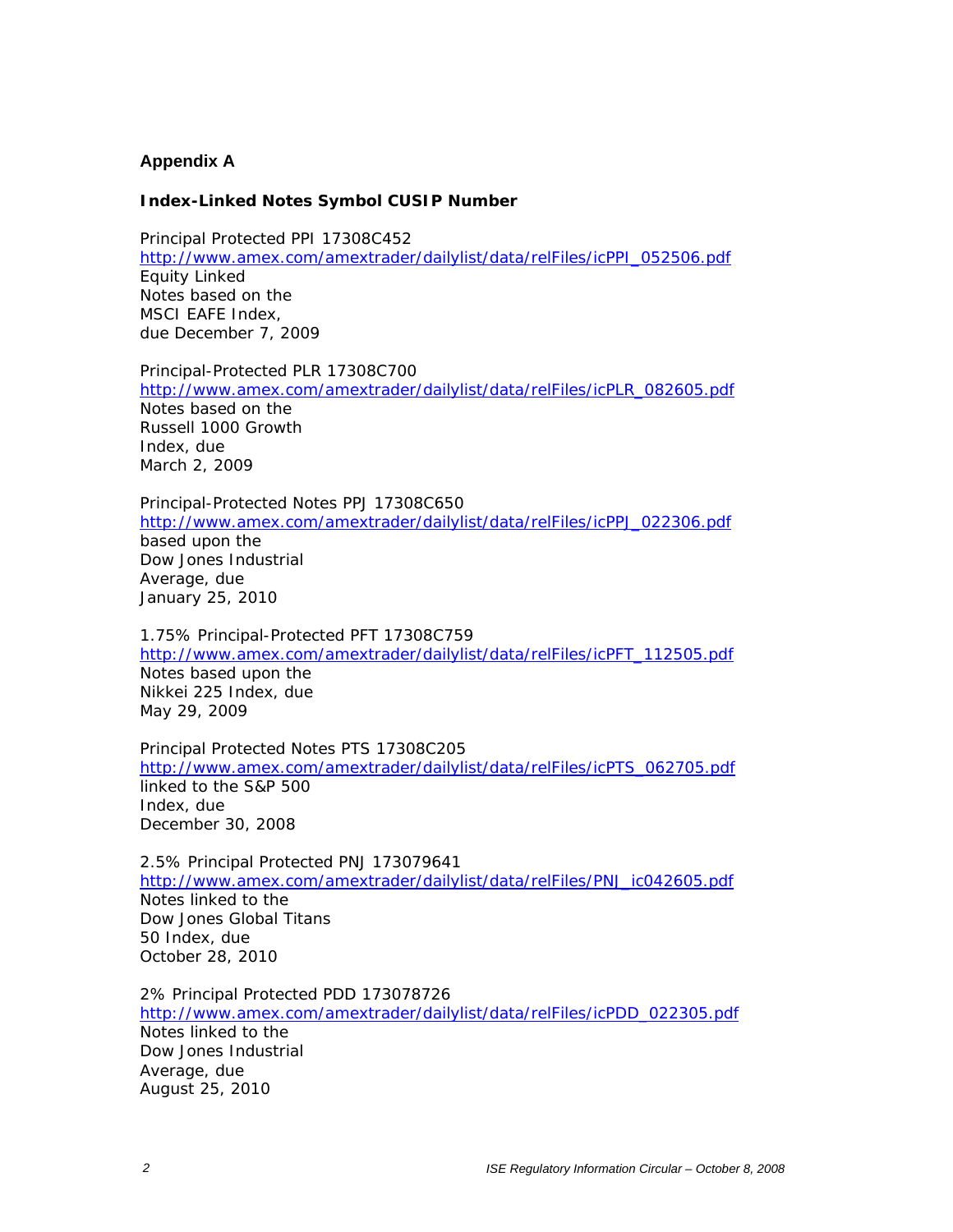## **Appendix A**

## **Index-Linked Notes Symbol CUSIP Number**

Principal Protected PPI 17308C452 http://www.amex.com/amextrader/dailylist/data/relFiles/icPPI\_052506.pdf Equity Linked Notes based on the MSCI EAFE Index, due December 7, 2009

Principal-Protected PLR 17308C700 http://www.amex.com/amextrader/dailylist/data/relFiles/icPLR\_082605.pdf Notes based on the Russell 1000 Growth Index, due March 2, 2009

Principal-Protected Notes PPJ 17308C650 http://www.amex.com/amextrader/dailylist/data/relFiles/icPPJ\_022306.pdf based upon the Dow Jones Industrial Average, due January 25, 2010

1.75% Principal-Protected PFT 17308C759 http://www.amex.com/amextrader/dailylist/data/relFiles/icPFT\_112505.pdf Notes based upon the Nikkei 225 Index, due May 29, 2009

Principal Protected Notes PTS 17308C205 http://www.amex.com/amextrader/dailylist/data/relFiles/icPTS\_062705.pdf linked to the S&P 500 Index, due December 30, 2008

2.5% Principal Protected PNJ 173079641 http://www.amex.com/amextrader/dailylist/data/relFiles/PNJ\_ic042605.pdf Notes linked to the Dow Jones Global Titans 50 Index, due October 28, 2010

2% Principal Protected PDD 173078726 http://www.amex.com/amextrader/dailylist/data/relFiles/icPDD\_022305.pdf Notes linked to the Dow Jones Industrial Average, due August 25, 2010